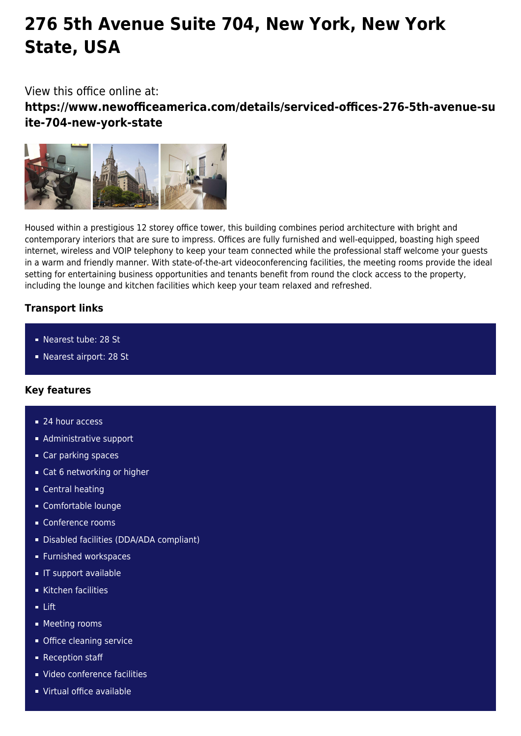# **276 5th Avenue Suite 704, New York, New York State, USA**

# View this office online at:

**https://www.newofficeamerica.com/details/serviced-offices-276-5th-avenue-su ite-704-new-york-state**



Housed within a prestigious 12 storey office tower, this building combines period architecture with bright and contemporary interiors that are sure to impress. Offices are fully furnished and well-equipped, boasting high speed internet, wireless and VOIP telephony to keep your team connected while the professional staff welcome your guests in a warm and friendly manner. With state-of-the-art videoconferencing facilities, the meeting rooms provide the ideal setting for entertaining business opportunities and tenants benefit from round the clock access to the property, including the lounge and kitchen facilities which keep your team relaxed and refreshed.

# **Transport links**

- Nearest tube: 28 St
- Nearest airport: 28 St

## **Key features**

- 24 hour access
- **Administrative support**
- Car parking spaces
- Cat 6 networking or higher
- **Central heating**
- Comfortable lounge
- Conference rooms
- Disabled facilities (DDA/ADA compliant)
- **Furnished workspaces**
- **IF support available**
- $\overline{\phantom{a}}$  Kitchen facilities
- Lift
- **Meeting rooms**
- **Office cleaning service**
- Reception staff
- Video conference facilities
- Virtual office available